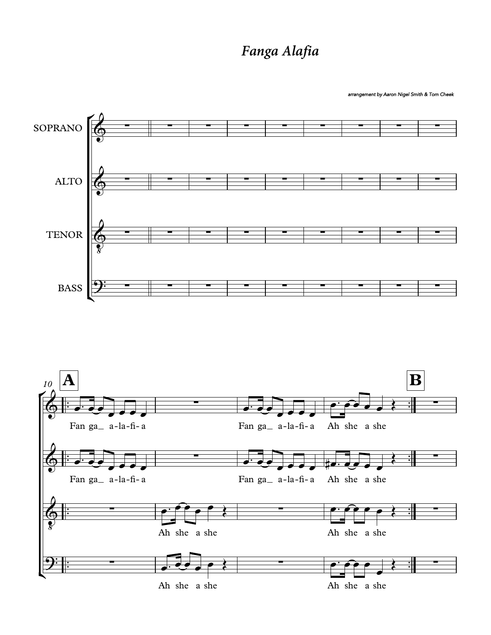## *Fanga Alafia*

arrangement by Aaron Nigel Smith & Tom Cheek

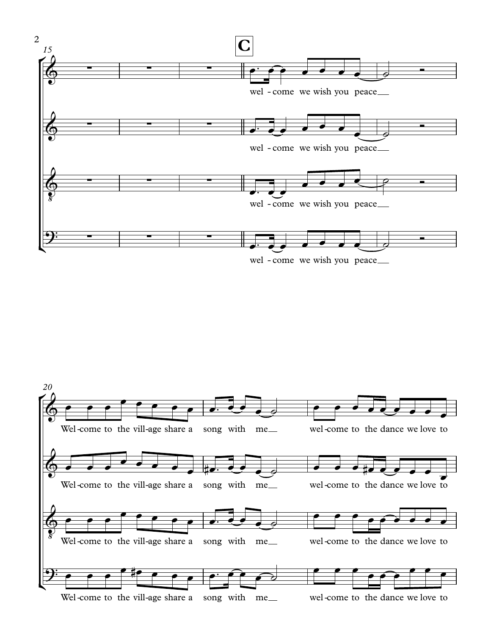

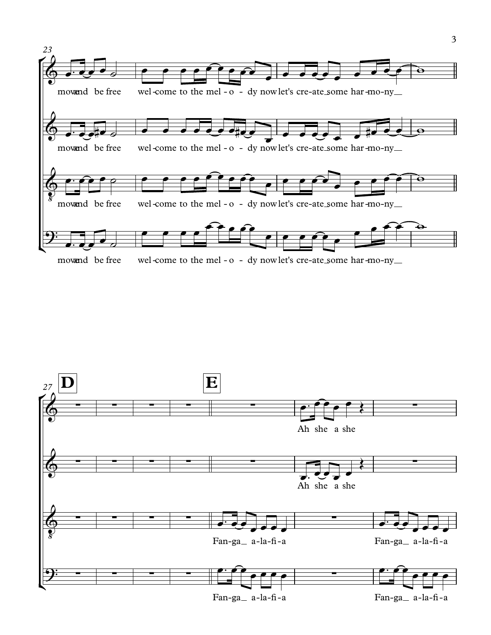

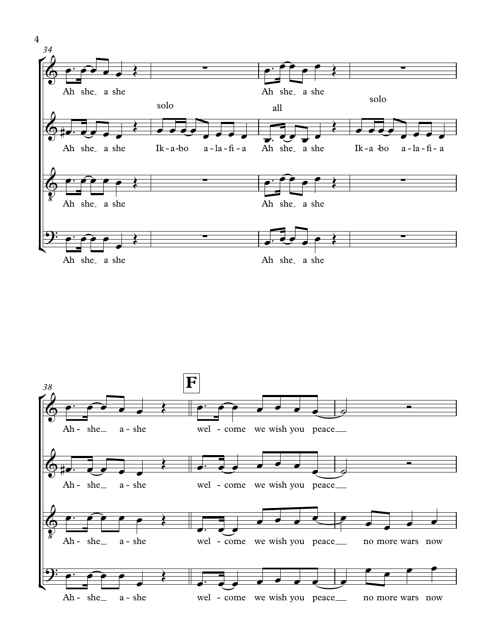

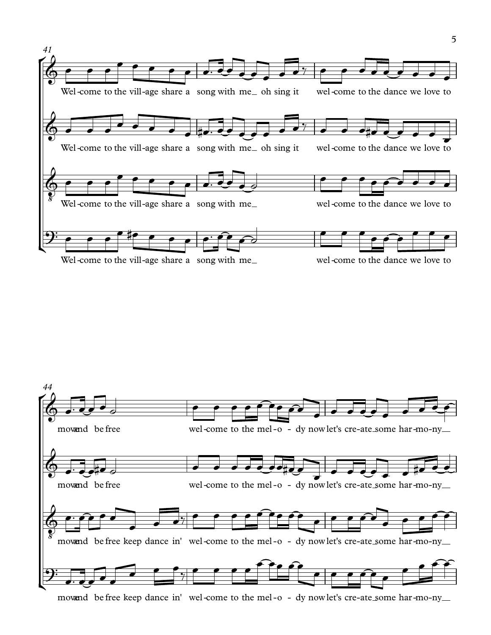



movand be free keep dance in' wel-come to the mel-o - dy nowlet's cre-ate some har-mo-ny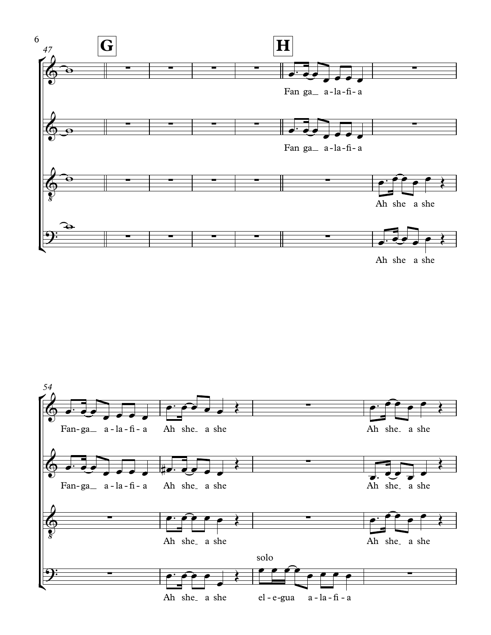

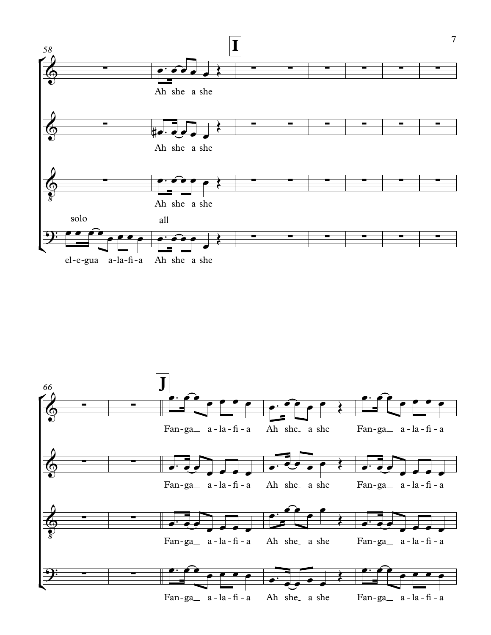

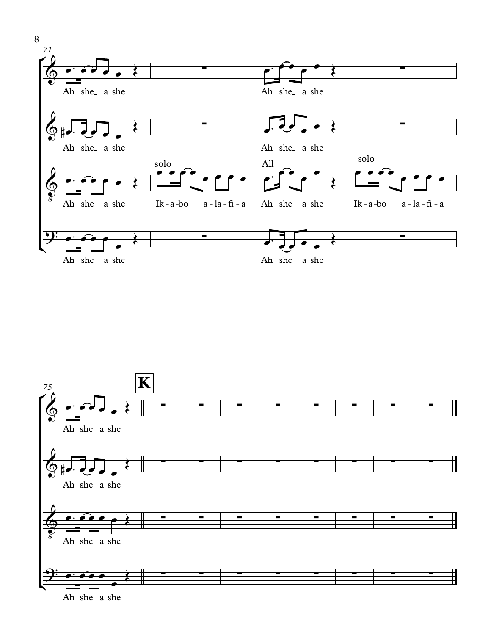



Ah she a she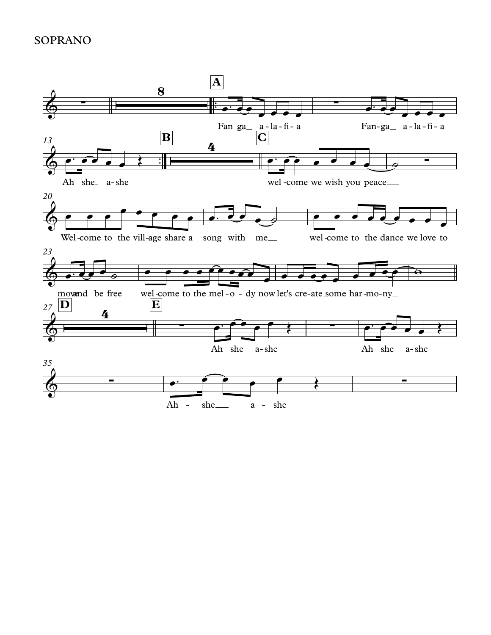## **SOPRANO**

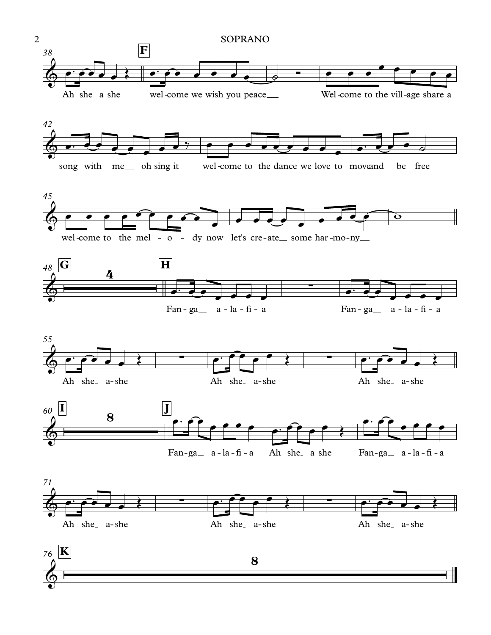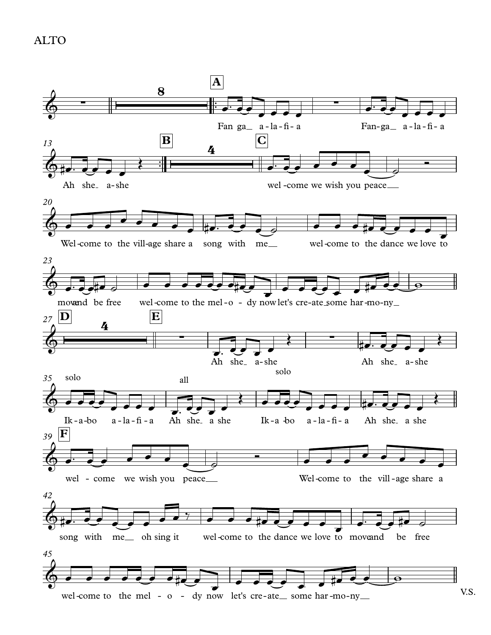**ALTO** 

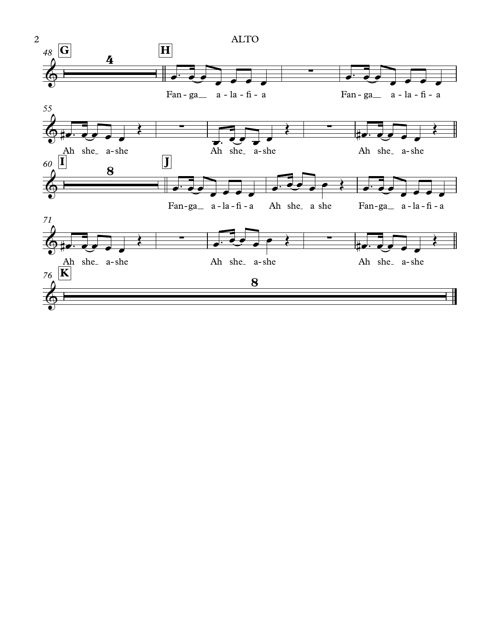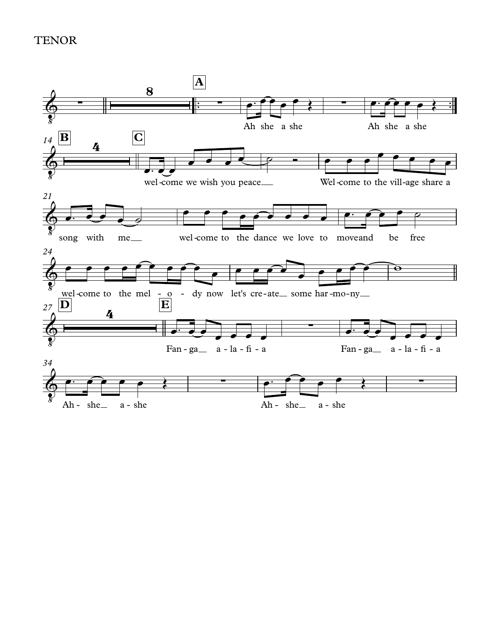## **TENOR**

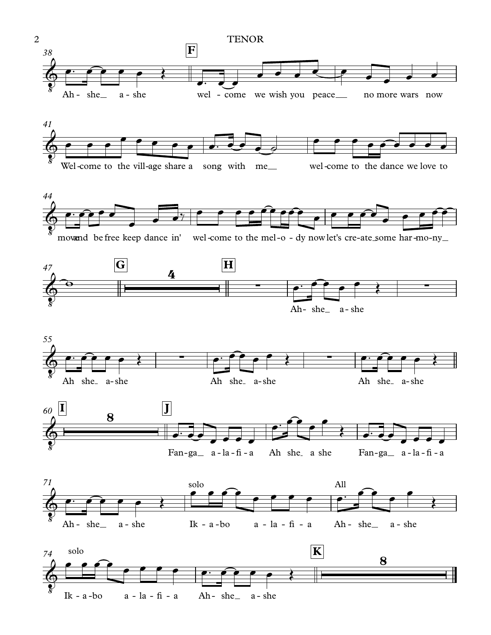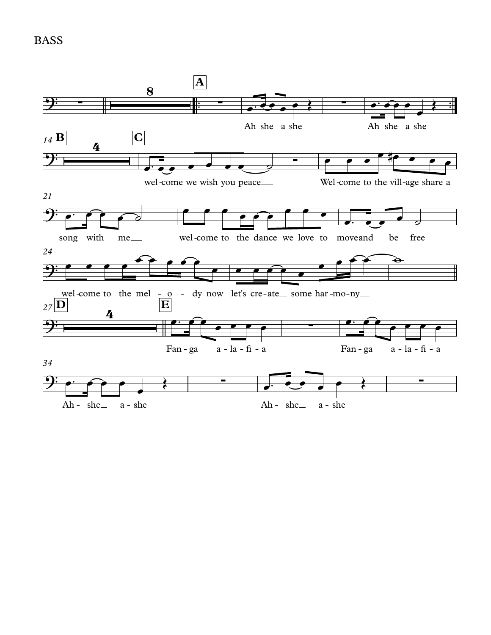BASS